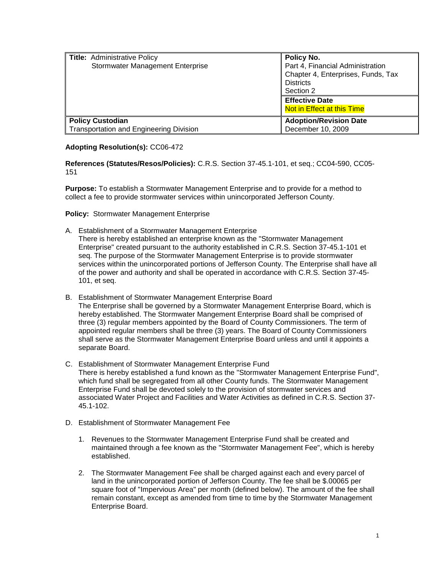| <b>Title: Administrative Policy</b>            | Policy No.                         |
|------------------------------------------------|------------------------------------|
| Stormwater Management Enterprise               | Part 4, Financial Administration   |
|                                                | Chapter 4, Enterprises, Funds, Tax |
|                                                | <b>Districts</b>                   |
|                                                | Section 2                          |
|                                                | <b>Effective Date</b>              |
|                                                | Not in Effect at this Time         |
| <b>Policy Custodian</b>                        | <b>Adoption/Revision Date</b>      |
| <b>Transportation and Engineering Division</b> | December 10, 2009                  |

## **Adopting Resolution(s):** CC06-472

**References (Statutes/Resos/Policies):** C.R.S. Section 37-45.1-101, et seq.; CC04-590, CC05- 151

**Purpose:** To establish a Stormwater Management Enterprise and to provide for a method to collect a fee to provide stormwater services within unincorporated Jefferson County.

**Policy:** Stormwater Management Enterprise

- A. Establishment of a Stormwater Management Enterprise
- There is hereby established an enterprise known as the "Stormwater Management Enterprise" created pursuant to the authority established in C.R.S. Section 37-45.1-101 et seq. The purpose of the Stormwater Management Enterprise is to provide stormwater services within the unincorporated portions of Jefferson County. The Enterprise shall have all of the power and authority and shall be operated in accordance with C.R.S. Section 37-45- 101, et seq.
- B. Establishment of Stormwater Management Enterprise Board The Enterprise shall be governed by a Stormwater Management Enterprise Board, which is hereby established. The Stormwater Mangement Enterprise Board shall be comprised of three (3) regular members appointed by the Board of County Commissioners. The term of appointed regular members shall be three (3) years. The Board of County Commissioners shall serve as the Stormwater Management Enterprise Board unless and until it appoints a separate Board.
- C. Establishment of Stormwater Management Enterprise Fund There is hereby established a fund known as the "Stormwater Management Enterprise Fund", which fund shall be segregated from all other County funds. The Stormwater Management Enterprise Fund shall be devoted solely to the provision of stormwater services and associated Water Project and Facilities and Water Activities as defined in C.R.S. Section 37- 45.1-102.
- D. Establishment of Stormwater Management Fee
	- 1. Revenues to the Stormwater Management Enterprise Fund shall be created and maintained through a fee known as the "Stormwater Management Fee", which is hereby established.
	- 2. The Stormwater Management Fee shall be charged against each and every parcel of land in the unincorporated portion of Jefferson County. The fee shall be \$.00065 per square foot of "Impervious Area" per month (defined below). The amount of the fee shall remain constant, except as amended from time to time by the Stormwater Management Enterprise Board.